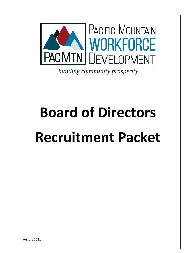

building community prosperity

# **Board of Directors**

# **Recruitment Packet**

August 2021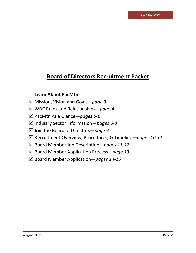# **Board of Directors Recruitment Packet**

# **Learn About PacMtn**

- Mission, Vision and Goals—*page 3*
- WDC Roles and Relationships—*page 4*
- PacMtn At a Glance—*pages 5-6*
- Industry Sector Information—*pages 6-8*
- Join the Board of Directors—*page 9*
- Recruitment Overview, Procedures, & Timeline—*pages 10-11*
- Board Member Job Description*—pages 11-12*
- Board Member Application Process—*page 13*
- Board Member Application*—pages 14-16*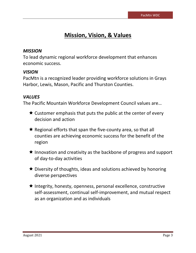# **Mission, Vision, & Values**

# *MISSION*

To lead dynamic regional workforce development that enhances economic success.

# *VISION*

PacMtn is a recognized leader providing workforce solutions in Grays Harbor, Lewis, Mason, Pacific and Thurston Counties.

# *VALUES*

The Pacific Mountain Workforce Development Council values are…

- $\star$  Customer emphasis that puts the public at the center of every decision and action
- $\star$  Regional efforts that span the five-county area, so that all counties are achieving economic success for the benefit of the region
- $\star$  Innovation and creativity as the backbone of progress and support of day-to-day activities
- **★** Diversity of thoughts, ideas and solutions achieved by honoring diverse perspectives
- $\star$  Integrity, honesty, openness, personal excellence, constructive self-assessment, continual self-improvement, and mutual respect as an organization and as individuals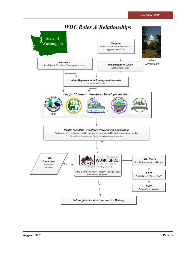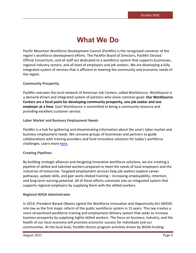# **What We Do**

Pacific Mountain Workforce Development Council (PacMtn) is the recognized convener of the region's workforce development efforts. The PacMtn Board of Directors, PacMtn Elected Official Consortium, and all staff are dedicated to a workforce system that supports businesses, regional industry sectors, and all level of employers and job seekers. We are developing a fully integrated system of services that is efficient at meeting the community and economic needs of the region.

### **Community Prosperity**

PacMtn oversees the local network of American Job Centers, called WorkSource. WorkSource is a demand-driven and integrated system of partners who share common goals. **Our WorkSource Centers are a focal point for developing community prosperity, one job seeker and one employer at a time**. Each WorkSource is committed to being a community resource and providing excellent customer service.

### **Labor Market and Business Employment Needs**

PacMtn is a hub for gathering and disseminating information about the area's labor market and business employment needs. We convene groups of businesses and partners to guide collaborations with training providers and fund innovative solutions for today's workforce challenges. Learn mor[e here.](https://pacmtn.org/regional-sectors/)

### **Creating Pipelines**

By building strategic alliances and designing innovative workforce solutions, we are creating a pipeline of skilled and talented workers prepared to meet the needs of local employers and the industries of tomorrow. Targeted employment services help job seekers explore career pathways, update skills, and gain work-related training – increasing employability, retention, and long-term earning potential. All of these efforts culminate into an integrated system that supports regional employers by supplying them with the skilled workers.

### **Regional WIOA Administrator**

In 2014, President Barack Obama signed the Workforce Innovation and Opportunity Act (WIOA) into law as the first major reform of the public workforce system in 15 years. This law creates a more streamlined workforce training and employment delivery system that seeks to increase business prosperity by supplying highly-skilled workers. The focus on business, industry, and the health of our local economy will promote economic success for individuals and our communities. At the local level, PacMtn directs program activities driven by WIOA funding.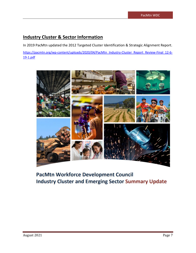# **Industry Cluster & Sector Information**

In 2019 PacMtn updated the 2012 Targeted Cluster Identification & Strategic Alignment Report.

[https://pacmtn.org/wp-content/uploads/2020/04/PacMtn\\_Industry-Cluster\\_Report\\_Review-Final\\_12-6-](https://pacmtn.org/wp-content/uploads/2020/04/PacMtn_Industry-Cluster_Report_Review-Final_12-6-19-1.pdf) [19-1.pdf](https://pacmtn.org/wp-content/uploads/2020/04/PacMtn_Industry-Cluster_Report_Review-Final_12-6-19-1.pdf)



# **PacMtn Workforce Development Council Industry Cluster and Emerging Sector Summary Update**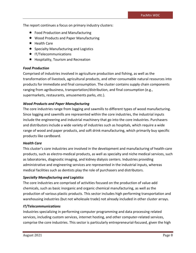The report continues a focus on primary industry clusters:

- $\star$  Food Production and Manufacturing
- ★ Wood Products and Paper Manufacturing
- $\star$  Health Care
- $\star$  Specialty Manufacturing and Logistics
- **★** IT/Telecommunications
- $\star$  Hospitality, Tourism and Recreation

### *Food Production*

Comprised of industries involved in agriculture production and fishing, as well as the transformation of livestock, agricultural products, and other consumable natural resources into products for immediate and final consumption. The cluster contains supply chain components ranging from agribusiness, transportation/distribution, and final consumption (e.g., supermarkets, restaurants, amusements parks, *etc.*).

### *Wood Products and Paper Manufacturing*

The core industries range from logging and sawmills to different types of wood manufacturing. Since logging and sawmills are represented within the core industries, the industrial inputs include the engineering and industrial machinery that go into the core industries. Purchasers and distributors include a wide variety of industries such as hospitals, which require a wide range of wood and paper products, and soft drink manufacturing, which primarily buy specific products like cardboard.

### *Health Care*

This cluster's core industries are involved in the development and manufacturing of health-care products, such as electro-medical products, as well as specialty and niche medical services, such as laboratories, diagnostic imaging, and kidney dialysis centers. Industries providing administrative and engineering services are represented in the industrial inputs, whereas medical facilities such as dentists play the role of purchasers and distributors.

### *Specialty Manufacturing and Logistics*

The core industries are comprised of activities focused on the production of value-add chemicals, such as basic inorganic and organic chemical manufacturing, as well as the production of various plastic products. This sector includes high performing transportation and warehousing industries (but not wholesale trade) not already included in other cluster arrays.

### *IT/Telecommunications*

Industries specializing in performing computer programming and data processing related services, including custom services, internet hosting, and other computer-related services, comprise the core industries. This sector is particularly entrepreneurial-focused, given the high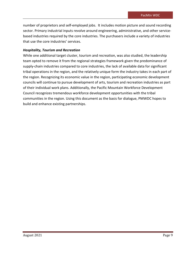number of proprietors and self-employed jobs. It includes motion picture and sound recording sector. Primary industrial inputs revolve around engineering, administrative, and other servicebased industries required by the core industries. The purchasers include a variety of industries that use the core industries' services.

### *Hospitality, Tourism and Recreation*

While one additional target cluster, tourism and recreation, was also studied, the leadership team opted to remove it from the regional strategies framework given the predominance of supply-chain industries compared to core industries, the lack of available data for significant tribal operations in the region, and the relatively unique form the industry takes in each part of the region. Recognizing its economic value in the region, participating economic development councils will continue to pursue development of arts, tourism and recreation industries as part of their individual work plans. Additionally, the Pacific Mountain Workforce Development Council recognizes tremendous workforce development opportunities with the tribal communities in the region. Using this document as the basis for dialogue, PMWDC hopes to build and enhance existing partnerships.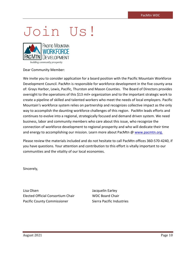# Join Us!



#### Dear Community Member:

We invite you to consider application for a board position with the Pacific Mountain Workforce Development Council. PacMtn is responsible for workforce development in the five county area of: Grays Harbor, Lewis, Pacific, Thurston and Mason Counties. The Board of Directors provides oversight to the operations of this \$13 mil+ organization and to the important strategic work to create a pipeline of skilled and talented workers who meet the needs of local employers. Pacific Mountain's workforce system relies on partnership and recognizes collective impact as the only way to accomplish the daunting workforce challenges of this region. PacMtn leads efforts and continues to evolve into a regional, strategically focused and demand driven system. We need business, labor and community members who care about this issue, who recognize the connection of workforce development to regional prosperity and who will dedicate their time and energy to accomplishing our mission. Learn more about PacMtn [@ www.pacmtn.org.](http://www.pacmtn.org/)

Please review the materials included and do not hesitate to call PacMtn offices 360-570-4240, if you have questions. Your attention and contribution to this effort is vitally important to our communities and the vitality of our local economies.

Sincerely,

Lisa Olsen Jacquelin Earley Elected Official Consortium Chair WDC Board Chair Pacific County Commissioner Sierra Pacific Industries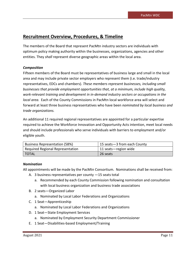# **Recruitment Overview, Procedures, & Timeline**

The members of the Board that represent PacMtn industry sectors are individuals with optimum policy making authority within the businesses, organizations, agencies and other entities. They *shall* represent diverse geographic areas within the local area.

### *Composition*

Fifteen members of the Board must be representatives of business large and small in the local area and may include private sector employers who represent them (i.e. trade/industry representatives, EDCs and chambers). *These members represent businesses, including small businesses that provide employment opportunities that, at a minimum, include high quality, work-relevant training and development in in-demand industry sectors or occupations in the local area.* Each of the County Commissions in PacMtn local workforce area will select and forward at least three business representatives who have been *nominated by local business and trade organizations.* 

An additional 11 required regional representatives are appointed for a particular expertise required to achieve the Workforce Innovation and Opportunity Acts intention, meet local needs and should include professionals who serve individuals with barriers to employment and/or eligible youth.

| <b>Business Representation (58%)</b> | 15 seats-3 from each County |
|--------------------------------------|-----------------------------|
| Required Regional Representation     | 11 seats - region wide      |
| I TOTAL                              | 26 seats                    |

### *Nomination*

All appointments will be made by the PacMtn Consortium. Nominations shall be received from:

- A. 3 business representatives per county —15 seats total
	- a. Recommended by each County Commission following nomination and consultation with local business organization and business trade associations
- B. 2 seats—Organized Labor
	- a. Nominated by Local Labor Federations and Organizations
- C. 1 Seat—Apprenticeship
	- a. Nominated by Local Labor Federations and Organizations
- D. 1 Seat—State Employment Services
	- a. Nominated by Employment Security Department Commissioner
- E. 1 Seat—Disabilities-based Employment/Training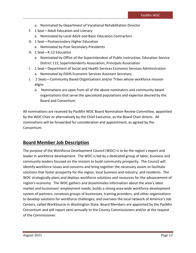- a. Nominated by Department of Vocational Rehabilitation Director
- F. 1 Seat—Adult Education and Literacy
	- a. Nominated by Local Adult and Basic Education Contractors
- G. 1 Seat—Postsecondary Higher Education
	- a. Nominated by Post-Secondary Presidents
- H. 1 Seat—K-12 Education
	- a. Nominated by Office of the Superintendent of Public Instruction, Education Service District 113, Superintendents Association, Principals Association
- I. 1 Seat—Department of Social and Health Services Economic Services Administration a. Nominated by DSHS Economic Services Assistant Secretary
- J. 2 Seats—Community Based Organizations and/or Tribes whose workforce mission aligns
	- a. Nominations are open from all of the above nominators and community based organizations that serve the specialized populations and expertise desired by the Board and Consortium

All nominations are received by PacMtn WDC Board Nomination Review Committee, appointed by the WDC Chair or alternatively by the Chief Executive, as the Board Chair directs. All nominations will be forwarded for consideration and appointment, as agreed by the Consortium.

# **Board Member Job Description**

The purpose of the Workforce Development Council (WDC) is to be the region's expert and leader in workforce development. The WDC is led by a dedicated group of labor, business and community leaders focused on the mission to build community prosperity. The Council will identify workforce issues and concerns and bring together the necessary assets to facilitate solutions that foster prosperity for the region, local business and industry, and residents. The WDC strategically plans and deploys workforce solutions and resources for the advancement of region's economy. The WDC gathers and disseminates information about the area's labor market and businesses' employment needs; builds a strong area-wide workforce development system of partners; convenes groups of businesses, training providers, and other organizations to develop solutions for workforce challenges; and oversees the local network of America's Job Centers, called WorkSource in Washington State. Board Members are appointed by the PacMtn Consortium and will report semi-annually to the County Commissioners and/or at the request of the Commissioner.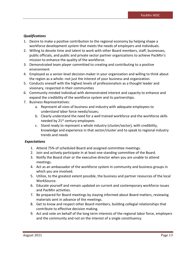### *Qualifications*

- 1. Desire to make a positive contribution to the regional economy by helping shape a workforce development system that meets the needs of employers and individuals.
- 2. Willing to devote time and talent to work with other Board members, staff, businesses, public officials, and public and private sector partner organizations to achieve PacMtn's mission to enhance the quality of the workforce.
- 3. Demonstrated team player committed to creating and contributing to a positive environment
- 4. Employed as a senior-level decision-maker in your organization and willing to think about the region as a whole--not just the interest of your business and organization.
- 5. Conducts oneself with the highest levels of professionalism as a thought leader and visionary, respected in their communities
- 6. Community minded individual with demonstrated interest and capacity to enhance and expand the credibility of the workforce system and its partnerships.
- 7. Business Representatives:
	- a. Represent all sizes of business and industry with adequate employees to understand labor force needs/issues;
	- b. Clearly understand the need for a well trained workforce and the workforce skills needed by 21<sup>st</sup> century employees
	- c. Stand ready to represent a whole industry (cluster/sector), with credibility, knowledge and experience in that sector/cluster and to speak to regional industry trends and needs

### *Expectations*

- 1. Attend 75% of scheduled Board and assigned committee meetings.
- 2. Join and actively participate in at least one standing committee of the Board.
- 3. Notify the Board chair or the executive director when you are unable to attend meetings.
- 4. Act as an ambassador of the workforce system in community and business groups in which you are involved.
- 5. Utilize, to the greatest extent possible, the business and partner resources of the local WorkSource.
- 6. Educate yourself and remain updated on current and contemporary workforce issues and PacMtn activities.
- 7. Be prepared for Board meetings by staying informed about Board matters, reviewing materials sent in advance of the meetings.
- 8. Get to know and respect other Board members, building collegial relationships that contribute to effective decision making.
- 9. Act and vote on behalf of the long term interests of the regional labor force, employers and the community and not on the interest of a single constituency.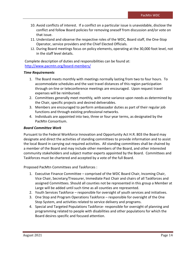- 10. Avoid conflicts of interest. If a conflict on a particular issue is unavoidable, disclose the conflict and follow Board policies for removing oneself from discussion and/or vote on that issue.
- 11. Understand and observe the respective roles of the WDC, Board staff, the One-Stop Operator, service providers and the Chief Elected Officials.
- 12. During Board meetings focus on policy elements, operating at the 30,000 foot level, not in the staff level details.

Complete description of duties and responsibilities can be found at: <http://www.pacmtn.org/board-members/>

### *Time Requirements*

- 1. The Board meets monthly with meetings normally lasting from two to four hours. To accommodate schedules and the vast travel distances of this region participation through on-line or teleconference meetings are encouraged. Upon request travel expenses will be reimbursed.
- 2. Committees generally meet monthly, with some variance upon needs as determined by the Chair, specific projects and desired deliverables.
- 3. Members are encouraged to perform ambassador duties as part of their regular job functions and through existing professional networks.
- 4. Individuals are appointed into two, three or four year terms, as designated by the PacMtn Consortium.

### *Board Committee Work*

Pursuant to the Federal Workforce Innovation and Opportunity Act H.R. 803 the Board may designate and direct the activities of standing committees to provide information and to assist the local Board in carrying out required activities. All standing committees shall be chaired by a member of the Board and may include other members of the Board, and other interested community stakeholders and subject matter experts appointed by the Board. Committees and Taskforces must be chartered and accepted by a vote of the full Board.

Proposed PacMtn Committees and Taskforces :

- 1. Executive Finance Committee comprised of the WDC Board Chair, Incoming Chair, Vice Chair, Secretary/Treasurer, Immediate Past Chair and chairs of all Taskforces and assigned Committees. Should all counties not be represented in this group a Member at Large will be added until such time as all counties are represented.
- 2. Youth Services Taskforce responsible for oversight of youth services and initiatives.
- 3. One Stop and Program Operations Taskforce responsible for oversight of the One Stop System, and activities related to service delivery and programs.
- 4. Special and Targeted Populations Taskforce- responsible for oversight of planning and programming related to people with disabilities and other populations for which the Board desires specific and focused attention.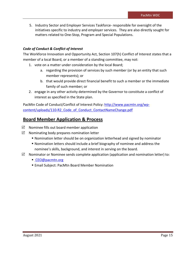5. Industry Sector and Employer Services Taskforce- responsible for oversight of the initiatives specific to industry and employer services. They are also directly sought for matters related to One-Stop, Program and Special Populations.

### *Code of Conduct & Conflict of Interest*

The Workforce Innovation and Opportunity Act, Section 107(h) Conflict of Interest states that a member of a local Board, or a member of a standing committee, may not:

- 1. vote on a matter under consideration by the local Board;
	- a. regarding the provision of services by such member (or by an entity that such member represents); or
	- b. that would provide direct financial benefit to such a member or the immediate family of such member; or
- 2. engage in any other activity determined by the Governor to constitute a conflict of interest as specified in the State plan.

PacMtn Code of Conduct/Conflict of Interest Policy: [http://www.pacmtn.org/wp](http://www.pacmtn.org/wp-content/uploads/110-R2_Code_of_Conduct_ContactNameChange.pdf)[content/uploads/110-R2\\_Code\\_of\\_Conduct\\_ContactNameChange.pdf](http://www.pacmtn.org/wp-content/uploads/110-R2_Code_of_Conduct_ContactNameChange.pdf)

# **Board Member Application & Process**

- $\boxtimes$  Nominee fills out board member application
- $\boxtimes$  Nominating body prepares nomination letter
	- Nomination letter should be on organization letterhead and signed by nominator
	- Nomination letters should include a brief biography of nominee and address the nominee's skills, background, and interest in serving on the board.
- $\boxtimes$  Nominator or Nominee sends complete application (application and nomination letter) to:
	- [CEO@pacmtn.org](mailto:CEO@pacmtn.org)
	- **Email Subject: PacMtn Board Member Nomination**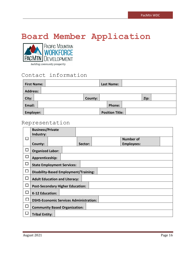# **Board Member Application**<br>
MORKFORCE



| <b>First Name:</b> |         | Last Name:             |      |
|--------------------|---------|------------------------|------|
| <b>Address:</b>    |         |                        |      |
| City:              | County: |                        | Zip: |
| Email:             |         | Phone:                 |      |
| Employer:          |         | <b>Position Title:</b> |      |

# Representation

|                          | <b>Business/Private</b>                       |  |  |         |  |                   |  |  |
|--------------------------|-----------------------------------------------|--|--|---------|--|-------------------|--|--|
|                          | Industry:                                     |  |  |         |  |                   |  |  |
| $\mathbf{I}$             |                                               |  |  |         |  | <b>Number of</b>  |  |  |
|                          | County:                                       |  |  | Sector: |  | <b>Employees:</b> |  |  |
| n.                       | <b>Organized Labor:</b>                       |  |  |         |  |                   |  |  |
| П                        | Apprenticeship:                               |  |  |         |  |                   |  |  |
| $\overline{\phantom{0}}$ | <b>State Employment Services:</b>             |  |  |         |  |                   |  |  |
|                          | <b>Disability-Based Employment/Training:</b>  |  |  |         |  |                   |  |  |
| ₽                        | <b>Adult Education and Literacy:</b>          |  |  |         |  |                   |  |  |
|                          | <b>Post-Secondary Higher Education:</b>       |  |  |         |  |                   |  |  |
| П                        | <b>K-12 Education:</b>                        |  |  |         |  |                   |  |  |
|                          | <b>DSHS-Economic Services Administration:</b> |  |  |         |  |                   |  |  |
|                          | <b>Community Based Organization:</b>          |  |  |         |  |                   |  |  |
|                          | <b>Tribal Entity:</b>                         |  |  |         |  |                   |  |  |